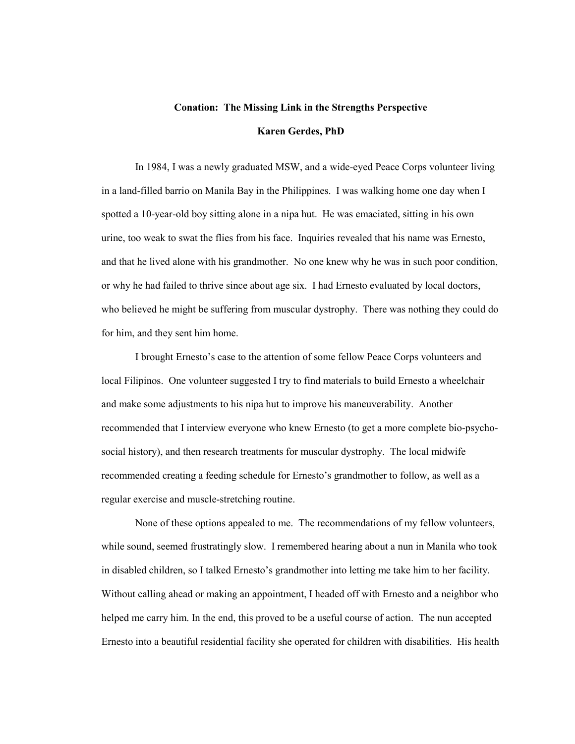# Conation: The Missing Link in the Strengths Perspective Karen Gerdes, PhD

In 1984, I was a newly graduated MSW, and a wide-eyed Peace Corps volunteer living in a land-filled barrio on Manila Bay in the Philippines. I was walking home one day when I spotted a 10-year-old boy sitting alone in a nipa hut. He was emaciated, sitting in his own urine, too weak to swat the flies from his face. Inquiries revealed that his name was Ernesto, and that he lived alone with his grandmother. No one knew why he was in such poor condition, or why he had failed to thrive since about age six. I had Ernesto evaluated by local doctors, who believed he might be suffering from muscular dystrophy. There was nothing they could do for him, and they sent him home.

I brought Ernesto's case to the attention of some fellow Peace Corps volunteers and local Filipinos. One volunteer suggested I try to find materials to build Ernesto a wheelchair and make some adjustments to his nipa hut to improve his maneuverability. Another recommended that I interview everyone who knew Ernesto (to get a more complete bio-psychosocial history), and then research treatments for muscular dystrophy. The local midwife recommended creating a feeding schedule for Ernesto's grandmother to follow, as well as a regular exercise and muscle-stretching routine.

None of these options appealed to me. The recommendations of my fellow volunteers, while sound, seemed frustratingly slow. I remembered hearing about a nun in Manila who took in disabled children, so I talked Ernesto's grandmother into letting me take him to her facility. Without calling ahead or making an appointment, I headed off with Ernesto and a neighbor who helped me carry him. In the end, this proved to be a useful course of action. The nun accepted Ernesto into a beautiful residential facility she operated for children with disabilities. His health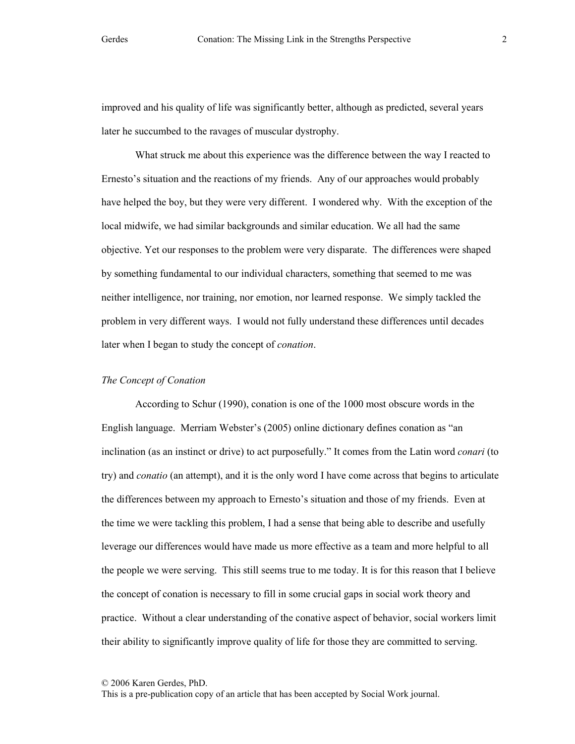improved and his quality of life was significantly better, although as predicted, several years later he succumbed to the ravages of muscular dystrophy.

What struck me about this experience was the difference between the way I reacted to Ernesto's situation and the reactions of my friends. Any of our approaches would probably have helped the boy, but they were very different. I wondered why. With the exception of the local midwife, we had similar backgrounds and similar education. We all had the same objective. Yet our responses to the problem were very disparate. The differences were shaped by something fundamental to our individual characters, something that seemed to me was neither intelligence, nor training, nor emotion, nor learned response. We simply tackled the problem in very different ways. I would not fully understand these differences until decades later when I began to study the concept of conation.

## The Concept of Conation

According to Schur (1990), conation is one of the 1000 most obscure words in the English language. Merriam Webster's (2005) online dictionary defines conation as "an inclination (as an instinct or drive) to act purposefully." It comes from the Latin word *conari* (to try) and conatio (an attempt), and it is the only word I have come across that begins to articulate the differences between my approach to Ernesto's situation and those of my friends. Even at the time we were tackling this problem, I had a sense that being able to describe and usefully leverage our differences would have made us more effective as a team and more helpful to all the people we were serving. This still seems true to me today. It is for this reason that I believe the concept of conation is necessary to fill in some crucial gaps in social work theory and practice. Without a clear understanding of the conative aspect of behavior, social workers limit their ability to significantly improve quality of life for those they are committed to serving.

2

<sup>© 2006</sup> Karen Gerdes, PhD.

This is a pre-publication copy of an article that has been accepted by Social Work journal.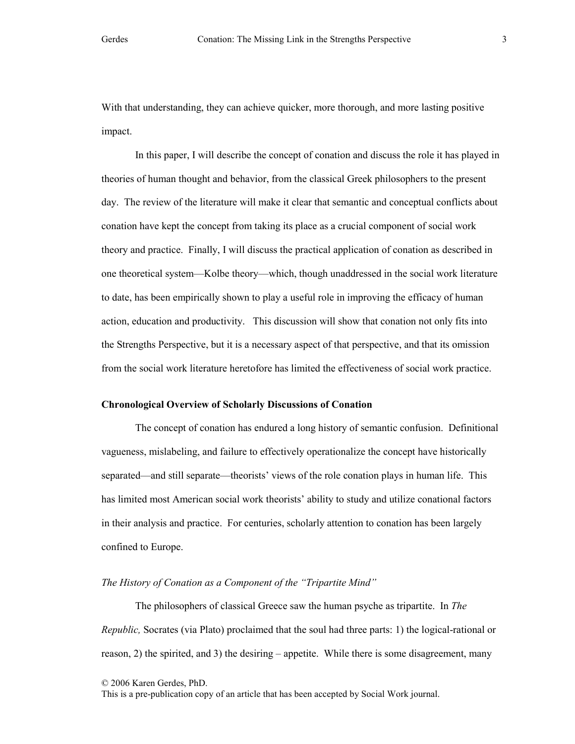With that understanding, they can achieve quicker, more thorough, and more lasting positive impact.

In this paper, I will describe the concept of conation and discuss the role it has played in theories of human thought and behavior, from the classical Greek philosophers to the present day. The review of the literature will make it clear that semantic and conceptual conflicts about conation have kept the concept from taking its place as a crucial component of social work theory and practice. Finally, I will discuss the practical application of conation as described in one theoretical system—Kolbe theory—which, though unaddressed in the social work literature to date, has been empirically shown to play a useful role in improving the efficacy of human action, education and productivity. This discussion will show that conation not only fits into the Strengths Perspective, but it is a necessary aspect of that perspective, and that its omission from the social work literature heretofore has limited the effectiveness of social work practice.

## Chronological Overview of Scholarly Discussions of Conation

The concept of conation has endured a long history of semantic confusion. Definitional vagueness, mislabeling, and failure to effectively operationalize the concept have historically separated—and still separate—theorists' views of the role conation plays in human life. This has limited most American social work theorists' ability to study and utilize conational factors in their analysis and practice. For centuries, scholarly attention to conation has been largely confined to Europe.

## The History of Conation as a Component of the "Tripartite Mind"

The philosophers of classical Greece saw the human psyche as tripartite. In The Republic, Socrates (via Plato) proclaimed that the soul had three parts: 1) the logical-rational or reason, 2) the spirited, and 3) the desiring – appetite. While there is some disagreement, many

<sup>© 2006</sup> Karen Gerdes, PhD.

This is a pre-publication copy of an article that has been accepted by Social Work journal.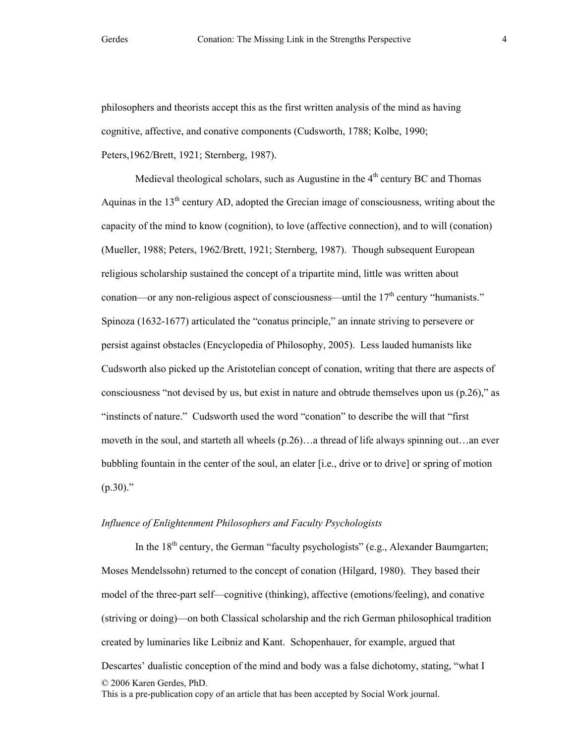philosophers and theorists accept this as the first written analysis of the mind as having cognitive, affective, and conative components (Cudsworth, 1788; Kolbe, 1990; Peters,1962/Brett, 1921; Sternberg, 1987).

Medieval theological scholars, such as Augustine in the  $4<sup>th</sup>$  century BC and Thomas Aquinas in the  $13<sup>th</sup>$  century AD, adopted the Grecian image of consciousness, writing about the capacity of the mind to know (cognition), to love (affective connection), and to will (conation) (Mueller, 1988; Peters, 1962/Brett, 1921; Sternberg, 1987). Though subsequent European religious scholarship sustained the concept of a tripartite mind, little was written about conation—or any non-religious aspect of consciousness—until the  $17<sup>th</sup>$  century "humanists." Spinoza (1632-1677) articulated the "conatus principle," an innate striving to persevere or persist against obstacles (Encyclopedia of Philosophy, 2005). Less lauded humanists like Cudsworth also picked up the Aristotelian concept of conation, writing that there are aspects of consciousness "not devised by us, but exist in nature and obtrude themselves upon us (p.26)," as "instincts of nature." Cudsworth used the word "conation" to describe the will that "first moveth in the soul, and starteth all wheels (p.26)…a thread of life always spinning out…an ever bubbling fountain in the center of the soul, an elater [i.e., drive or to drive] or spring of motion  $(p.30)$ ."

# Influence of Enlightenment Philosophers and Faculty Psychologists

© 2006 Karen Gerdes, PhD. This is a pre-publication copy of an article that has been accepted by Social Work journal. In the  $18<sup>th</sup>$  century, the German "faculty psychologists" (e.g., Alexander Baumgarten; Moses Mendelssohn) returned to the concept of conation (Hilgard, 1980). They based their model of the three-part self—cognitive (thinking), affective (emotions/feeling), and conative (striving or doing)—on both Classical scholarship and the rich German philosophical tradition created by luminaries like Leibniz and Kant. Schopenhauer, for example, argued that Descartes' dualistic conception of the mind and body was a false dichotomy, stating, "what I

4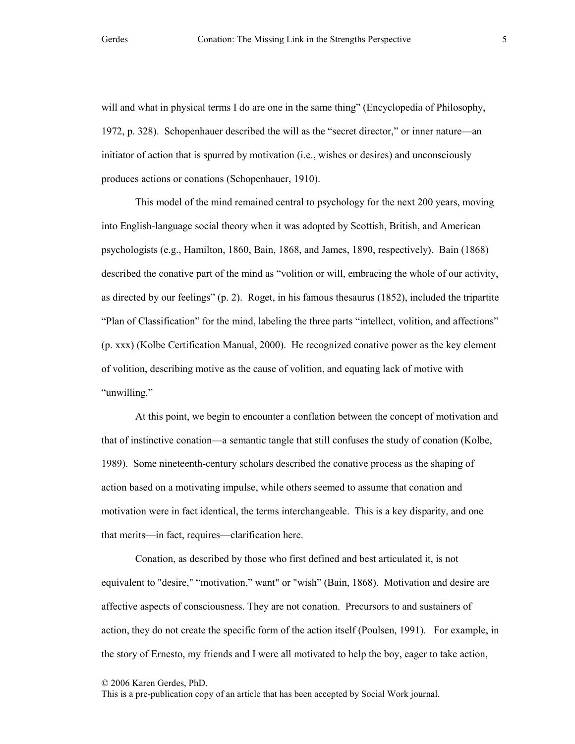will and what in physical terms I do are one in the same thing" (Encyclopedia of Philosophy, 1972, p. 328). Schopenhauer described the will as the "secret director," or inner nature—an initiator of action that is spurred by motivation (i.e., wishes or desires) and unconsciously produces actions or conations (Schopenhauer, 1910).

This model of the mind remained central to psychology for the next 200 years, moving into English-language social theory when it was adopted by Scottish, British, and American psychologists (e.g., Hamilton, 1860, Bain, 1868, and James, 1890, respectively). Bain (1868) described the conative part of the mind as "volition or will, embracing the whole of our activity, as directed by our feelings" (p. 2). Roget, in his famous thesaurus (1852), included the tripartite "Plan of Classification" for the mind, labeling the three parts "intellect, volition, and affections" (p. xxx) (Kolbe Certification Manual, 2000). He recognized conative power as the key element of volition, describing motive as the cause of volition, and equating lack of motive with "unwilling."

At this point, we begin to encounter a conflation between the concept of motivation and that of instinctive conation—a semantic tangle that still confuses the study of conation (Kolbe, 1989). Some nineteenth-century scholars described the conative process as the shaping of action based on a motivating impulse, while others seemed to assume that conation and motivation were in fact identical, the terms interchangeable. This is a key disparity, and one that merits—in fact, requires—clarification here.

Conation, as described by those who first defined and best articulated it, is not equivalent to "desire," "motivation," want" or "wish" (Bain, 1868). Motivation and desire are affective aspects of consciousness. They are not conation. Precursors to and sustainers of action, they do not create the specific form of the action itself (Poulsen, 1991). For example, in the story of Ernesto, my friends and I were all motivated to help the boy, eager to take action,

© 2006 Karen Gerdes, PhD.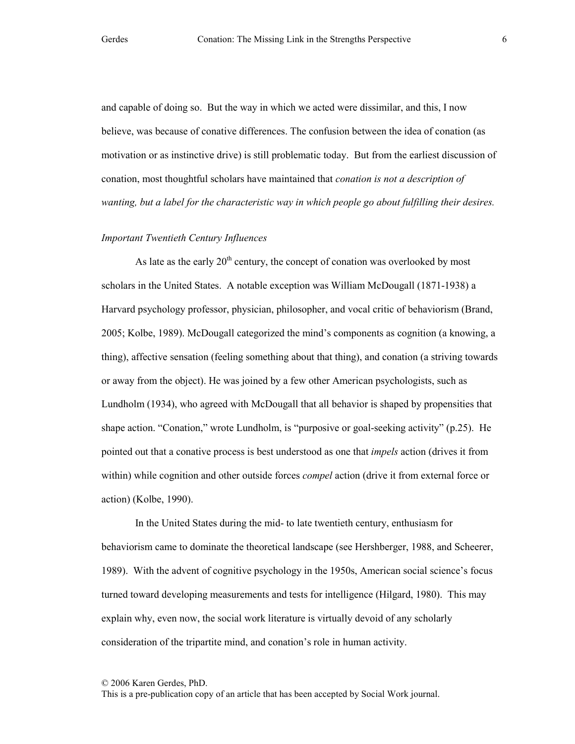and capable of doing so. But the way in which we acted were dissimilar, and this, I now believe, was because of conative differences. The confusion between the idea of conation (as motivation or as instinctive drive) is still problematic today. But from the earliest discussion of conation, most thoughtful scholars have maintained that *conation is not a description of* wanting, but a label for the characteristic way in which people go about fulfilling their desires.

## Important Twentieth Century Influences

As late as the early  $20<sup>th</sup>$  century, the concept of conation was overlooked by most scholars in the United States. A notable exception was William McDougall (1871-1938) a Harvard psychology professor, physician, philosopher, and vocal critic of behaviorism (Brand, 2005; Kolbe, 1989). McDougall categorized the mind's components as cognition (a knowing, a thing), affective sensation (feeling something about that thing), and conation (a striving towards or away from the object). He was joined by a few other American psychologists, such as Lundholm (1934), who agreed with McDougall that all behavior is shaped by propensities that shape action. "Conation," wrote Lundholm, is "purposive or goal-seeking activity" (p.25). He pointed out that a conative process is best understood as one that *impels* action (drives it from within) while cognition and other outside forces *compel* action (drive it from external force or action) (Kolbe, 1990).

In the United States during the mid- to late twentieth century, enthusiasm for behaviorism came to dominate the theoretical landscape (see Hershberger, 1988, and Scheerer, 1989). With the advent of cognitive psychology in the 1950s, American social science's focus turned toward developing measurements and tests for intelligence (Hilgard, 1980). This may explain why, even now, the social work literature is virtually devoid of any scholarly consideration of the tripartite mind, and conation's role in human activity.

© 2006 Karen Gerdes, PhD.

This is a pre-publication copy of an article that has been accepted by Social Work journal.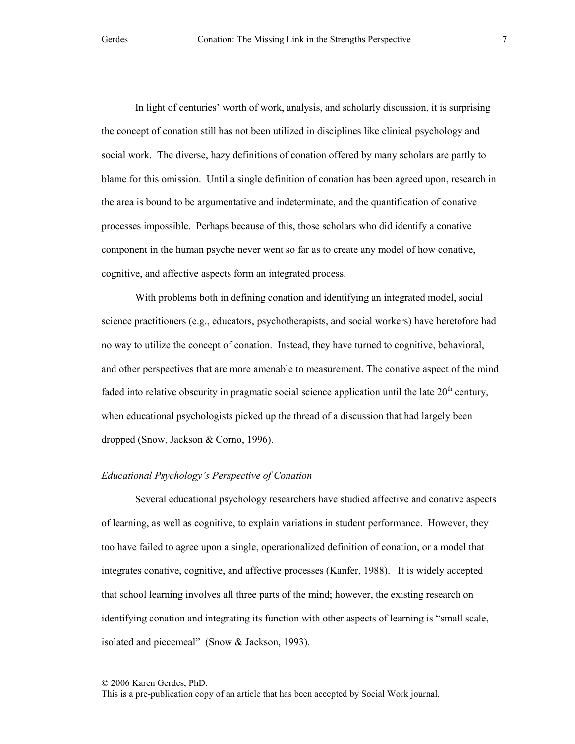In light of centuries' worth of work, analysis, and scholarly discussion, it is surprising the concept of conation still has not been utilized in disciplines like clinical psychology and social work. The diverse, hazy definitions of conation offered by many scholars are partly to blame for this omission. Until a single definition of conation has been agreed upon, research in the area is bound to be argumentative and indeterminate, and the quantification of conative processes impossible. Perhaps because of this, those scholars who did identify a conative component in the human psyche never went so far as to create any model of how conative, cognitive, and affective aspects form an integrated process.

With problems both in defining conation and identifying an integrated model, social science practitioners (e.g., educators, psychotherapists, and social workers) have heretofore had no way to utilize the concept of conation. Instead, they have turned to cognitive, behavioral, and other perspectives that are more amenable to measurement. The conative aspect of the mind faded into relative obscurity in pragmatic social science application until the late  $20<sup>th</sup>$  century, when educational psychologists picked up the thread of a discussion that had largely been dropped (Snow, Jackson & Corno, 1996).

# Educational Psychology's Perspective of Conation

Several educational psychology researchers have studied affective and conative aspects of learning, as well as cognitive, to explain variations in student performance. However, they too have failed to agree upon a single, operationalized definition of conation, or a model that integrates conative, cognitive, and affective processes (Kanfer, 1988). It is widely accepted that school learning involves all three parts of the mind; however, the existing research on identifying conation and integrating its function with other aspects of learning is "small scale, isolated and piecemeal" (Snow & Jackson, 1993).

<sup>© 2006</sup> Karen Gerdes, PhD.

This is a pre-publication copy of an article that has been accepted by Social Work journal.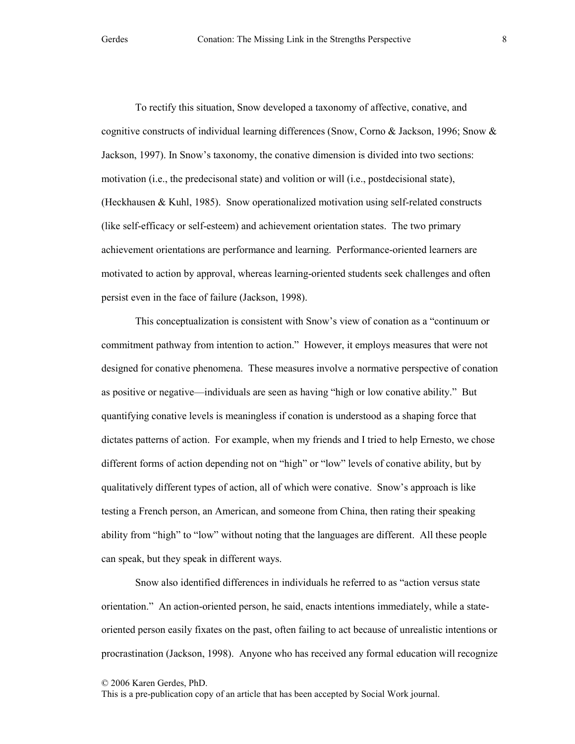To rectify this situation, Snow developed a taxonomy of affective, conative, and cognitive constructs of individual learning differences (Snow, Corno & Jackson, 1996; Snow & Jackson, 1997). In Snow's taxonomy, the conative dimension is divided into two sections: motivation (i.e., the predecisonal state) and volition or will (i.e., postdecisional state), (Heckhausen & Kuhl, 1985). Snow operationalized motivation using self-related constructs (like self-efficacy or self-esteem) and achievement orientation states. The two primary achievement orientations are performance and learning. Performance-oriented learners are motivated to action by approval, whereas learning-oriented students seek challenges and often persist even in the face of failure (Jackson, 1998).

This conceptualization is consistent with Snow's view of conation as a "continuum or commitment pathway from intention to action." However, it employs measures that were not designed for conative phenomena. These measures involve a normative perspective of conation as positive or negative—individuals are seen as having "high or low conative ability." But quantifying conative levels is meaningless if conation is understood as a shaping force that dictates patterns of action. For example, when my friends and I tried to help Ernesto, we chose different forms of action depending not on "high" or "low" levels of conative ability, but by qualitatively different types of action, all of which were conative. Snow's approach is like testing a French person, an American, and someone from China, then rating their speaking ability from "high" to "low" without noting that the languages are different. All these people can speak, but they speak in different ways.

Snow also identified differences in individuals he referred to as "action versus state orientation." An action-oriented person, he said, enacts intentions immediately, while a stateoriented person easily fixates on the past, often failing to act because of unrealistic intentions or procrastination (Jackson, 1998). Anyone who has received any formal education will recognize

© 2006 Karen Gerdes, PhD.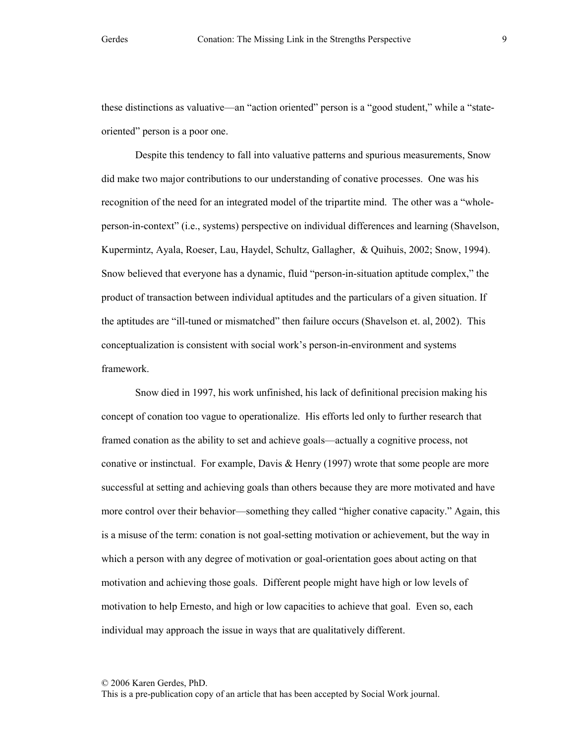these distinctions as valuative—an "action oriented" person is a "good student," while a "stateoriented" person is a poor one.

Despite this tendency to fall into valuative patterns and spurious measurements, Snow did make two major contributions to our understanding of conative processes. One was his recognition of the need for an integrated model of the tripartite mind. The other was a "wholeperson-in-context" (i.e., systems) perspective on individual differences and learning (Shavelson, Kupermintz, Ayala, Roeser, Lau, Haydel, Schultz, Gallagher, & Quihuis, 2002; Snow, 1994). Snow believed that everyone has a dynamic, fluid "person-in-situation aptitude complex," the product of transaction between individual aptitudes and the particulars of a given situation. If the aptitudes are "ill-tuned or mismatched" then failure occurs (Shavelson et. al, 2002). This conceptualization is consistent with social work's person-in-environment and systems framework.

Snow died in 1997, his work unfinished, his lack of definitional precision making his concept of conation too vague to operationalize. His efforts led only to further research that framed conation as the ability to set and achieve goals—actually a cognitive process, not conative or instinctual. For example, Davis  $\&$  Henry (1997) wrote that some people are more successful at setting and achieving goals than others because they are more motivated and have more control over their behavior—something they called "higher conative capacity." Again, this is a misuse of the term: conation is not goal-setting motivation or achievement, but the way in which a person with any degree of motivation or goal-orientation goes about acting on that motivation and achieving those goals. Different people might have high or low levels of motivation to help Ernesto, and high or low capacities to achieve that goal. Even so, each individual may approach the issue in ways that are qualitatively different.

© 2006 Karen Gerdes, PhD.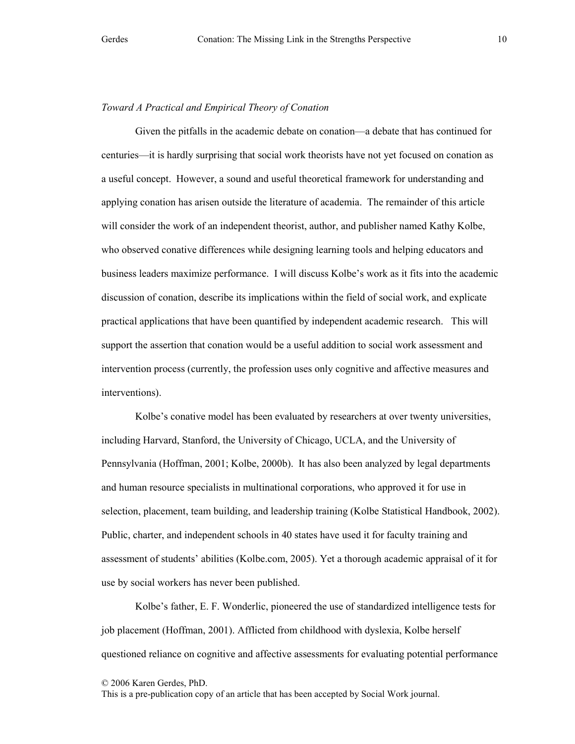## Toward A Practical and Empirical Theory of Conation

Given the pitfalls in the academic debate on conation—a debate that has continued for centuries—it is hardly surprising that social work theorists have not yet focused on conation as a useful concept. However, a sound and useful theoretical framework for understanding and applying conation has arisen outside the literature of academia. The remainder of this article will consider the work of an independent theorist, author, and publisher named Kathy Kolbe, who observed conative differences while designing learning tools and helping educators and business leaders maximize performance. I will discuss Kolbe's work as it fits into the academic discussion of conation, describe its implications within the field of social work, and explicate practical applications that have been quantified by independent academic research. This will support the assertion that conation would be a useful addition to social work assessment and intervention process (currently, the profession uses only cognitive and affective measures and interventions).

Kolbe's conative model has been evaluated by researchers at over twenty universities, including Harvard, Stanford, the University of Chicago, UCLA, and the University of Pennsylvania (Hoffman, 2001; Kolbe, 2000b). It has also been analyzed by legal departments and human resource specialists in multinational corporations, who approved it for use in selection, placement, team building, and leadership training (Kolbe Statistical Handbook, 2002). Public, charter, and independent schools in 40 states have used it for faculty training and assessment of students' abilities (Kolbe.com, 2005). Yet a thorough academic appraisal of it for use by social workers has never been published.

Kolbe's father, E. F. Wonderlic, pioneered the use of standardized intelligence tests for job placement (Hoffman, 2001). Afflicted from childhood with dyslexia, Kolbe herself questioned reliance on cognitive and affective assessments for evaluating potential performance

<sup>© 2006</sup> Karen Gerdes, PhD.

This is a pre-publication copy of an article that has been accepted by Social Work journal.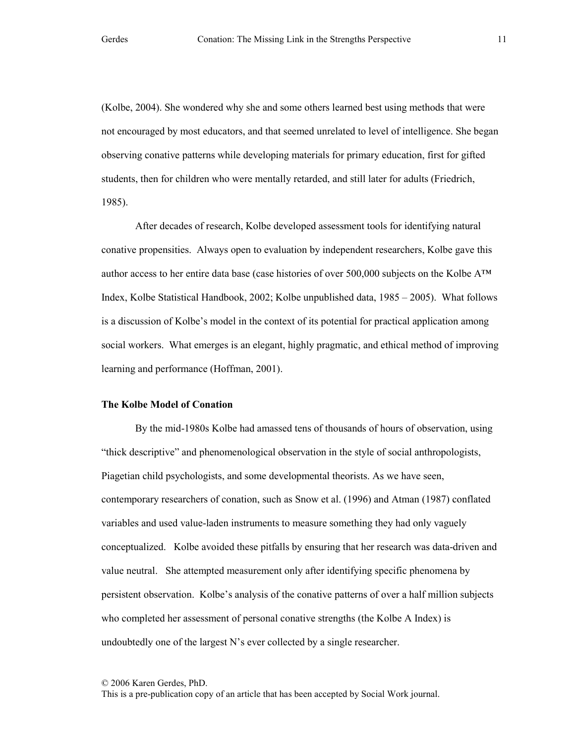(Kolbe, 2004). She wondered why she and some others learned best using methods that were not encouraged by most educators, and that seemed unrelated to level of intelligence. She began observing conative patterns while developing materials for primary education, first for gifted students, then for children who were mentally retarded, and still later for adults (Friedrich, 1985).

 After decades of research, Kolbe developed assessment tools for identifying natural conative propensities. Always open to evaluation by independent researchers, Kolbe gave this author access to her entire data base (case histories of over 500,000 subjects on the Kolbe  $A^{TM}$ Index, Kolbe Statistical Handbook, 2002; Kolbe unpublished data, 1985 – 2005). What follows is a discussion of Kolbe's model in the context of its potential for practical application among social workers. What emerges is an elegant, highly pragmatic, and ethical method of improving learning and performance (Hoffman, 2001).

# The Kolbe Model of Conation

By the mid-1980s Kolbe had amassed tens of thousands of hours of observation, using "thick descriptive" and phenomenological observation in the style of social anthropologists, Piagetian child psychologists, and some developmental theorists. As we have seen, contemporary researchers of conation, such as Snow et al. (1996) and Atman (1987) conflated variables and used value-laden instruments to measure something they had only vaguely conceptualized. Kolbe avoided these pitfalls by ensuring that her research was data-driven and value neutral. She attempted measurement only after identifying specific phenomena by persistent observation. Kolbe's analysis of the conative patterns of over a half million subjects who completed her assessment of personal conative strengths (the Kolbe A Index) is undoubtedly one of the largest  $N$ 's ever collected by a single researcher.

<sup>© 2006</sup> Karen Gerdes, PhD.

This is a pre-publication copy of an article that has been accepted by Social Work journal.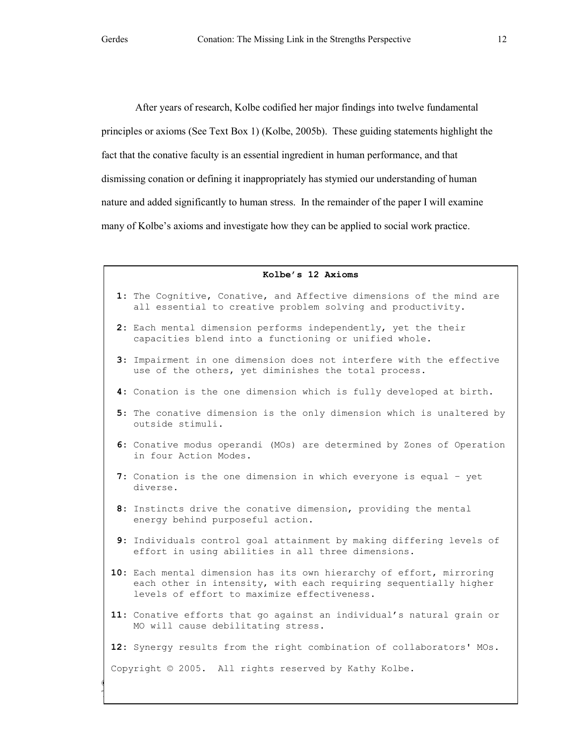After years of research, Kolbe codified her major findings into twelve fundamental principles or axioms (See Text Box 1) (Kolbe, 2005b). These guiding statements highlight the fact that the conative faculty is an essential ingredient in human performance, and that dismissing conation or defining it inappropriately has stymied our understanding of human nature and added significantly to human stress. In the remainder of the paper I will examine many of Kolbe's axioms and investigate how they can be applied to social work practice.

#### Kolbe's 12 Axioms

- 1: The Cognitive, Conative, and Affective dimensions of the mind are all essential to creative problem solving and productivity.
- 2: Each mental dimension performs independently, yet the their capacities blend into a functioning or unified whole.
- 3: Impairment in one dimension does not interfere with the effective use of the others, yet diminishes the total process.
- 4: Conation is the one dimension which is fully developed at birth.
- 5: The conative dimension is the only dimension which is unaltered by outside stimuli.
- 6: Conative modus operandi (MOs) are determined by Zones of Operation in four Action Modes.
- 7: Conation is the one dimension in which everyone is equal yet diverse.
- 8: Instincts drive the conative dimension, providing the mental energy behind purposeful action.
- 9: Individuals control goal attainment by making differing levels of effort in using abilities in all three dimensions.
- 10: Each mental dimension has its own hierarchy of effort, mirroring each other in intensity, with each requiring sequentially higher levels of effort to maximize effectiveness.
- 11: Conative efforts that go against an individual's natural grain or MO will cause debilitating stress.

12: Synergy results from the right combination of collaborators' MOs.

Copyright © 2005. All rights reserved by Kathy Kolbe.

This is a pre-publication copy of an article that has been article that has been accepted by Social Work journal.

 $\mathcal{O}$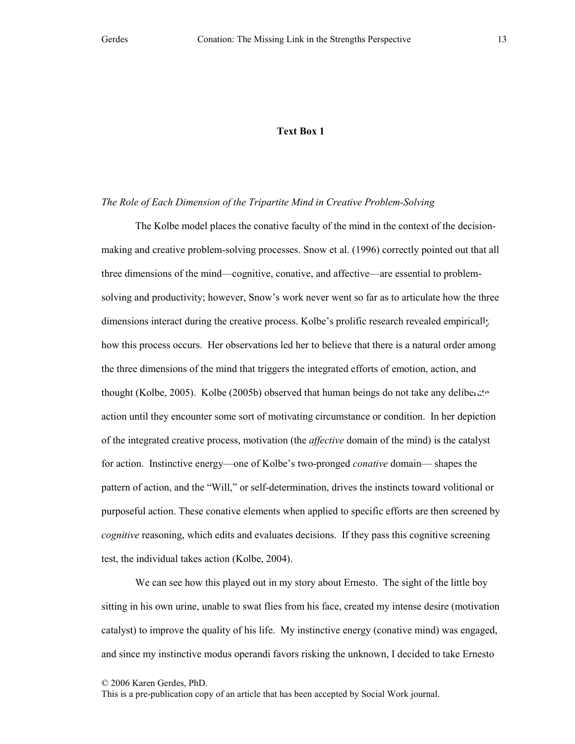## Text Box 1

#### The Role of Each Dimension of the Tripartite Mind in Creative Problem-Solving

The Kolbe model places the conative faculty of the mind in the context of the decisionmaking and creative problem-solving processes. Snow et al. (1996) correctly pointed out that all three dimensions of the mind—cognitive, conative, and affective—are essential to problemsolving and productivity; however, Snow's work never went so far as to articulate how the three dimensions interact during the creative process. Kolbe's prolific research revealed empirically how this process occurs. Her observations led her to believe that there is a natural order among the three dimensions of the mind that triggers the integrated efforts of emotion, action, and thought (Kolbe, 2005). Kolbe (2005b) observed that human beings do not take any deliberate action until they encounter some sort of motivating circumstance or condition. In her depiction of the integrated creative process, motivation (the *affective* domain of the mind) is the catalyst for action. Instinctive energy—one of Kolbe's two-pronged conative domain— shapes the pattern of action, and the "Will," or self-determination, drives the instincts toward volitional or purposeful action. These conative elements when applied to specific efforts are then screened by cognitive reasoning, which edits and evaluates decisions. If they pass this cognitive screening test, the individual takes action (Kolbe, 2004).

We can see how this played out in my story about Ernesto. The sight of the little boy sitting in his own urine, unable to swat flies from his face, created my intense desire (motivation catalyst) to improve the quality of his life. My instinctive energy (conative mind) was engaged, and since my instinctive modus operandi favors risking the unknown, I decided to take Ernesto

© 2006 Karen Gerdes, PhD.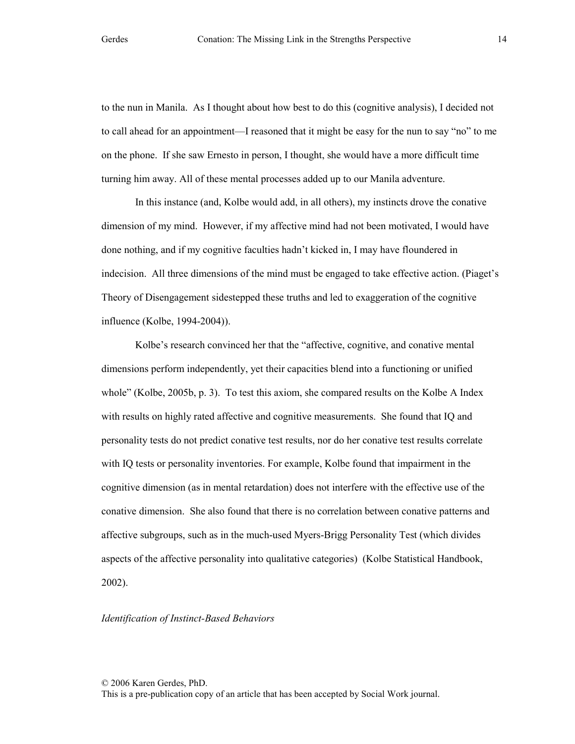to the nun in Manila. As I thought about how best to do this (cognitive analysis), I decided not to call ahead for an appointment—I reasoned that it might be easy for the nun to say "no" to me on the phone. If she saw Ernesto in person, I thought, she would have a more difficult time turning him away. All of these mental processes added up to our Manila adventure.

In this instance (and, Kolbe would add, in all others), my instincts drove the conative dimension of my mind. However, if my affective mind had not been motivated, I would have done nothing, and if my cognitive faculties hadn't kicked in, I may have floundered in indecision. All three dimensions of the mind must be engaged to take effective action. (Piaget's Theory of Disengagement sidestepped these truths and led to exaggeration of the cognitive influence (Kolbe, 1994-2004)).

 Kolbe's research convinced her that the "affective, cognitive, and conative mental dimensions perform independently, yet their capacities blend into a functioning or unified whole" (Kolbe, 2005b, p. 3). To test this axiom, she compared results on the Kolbe A Index with results on highly rated affective and cognitive measurements. She found that IQ and personality tests do not predict conative test results, nor do her conative test results correlate with IQ tests or personality inventories. For example, Kolbe found that impairment in the cognitive dimension (as in mental retardation) does not interfere with the effective use of the conative dimension. She also found that there is no correlation between conative patterns and affective subgroups, such as in the much-used Myers-Brigg Personality Test (which divides aspects of the affective personality into qualitative categories) (Kolbe Statistical Handbook, 2002).

## Identification of Instinct-Based Behaviors

© 2006 Karen Gerdes, PhD.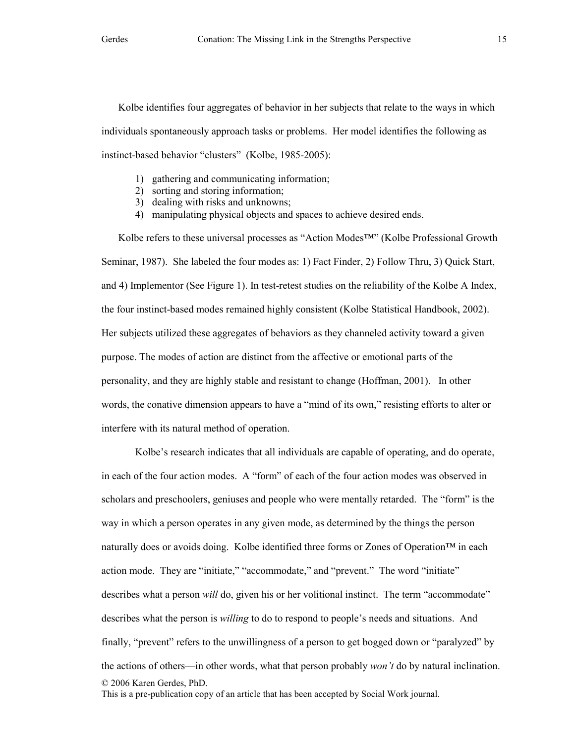Kolbe identifies four aggregates of behavior in her subjects that relate to the ways in which individuals spontaneously approach tasks or problems. Her model identifies the following as instinct-based behavior "clusters" (Kolbe, 1985-2005):

- 1) gathering and communicating information;
- 2) sorting and storing information;
- 3) dealing with risks and unknowns;
- 4) manipulating physical objects and spaces to achieve desired ends.

Kolbe refers to these universal processes as "Action Modes™" (Kolbe Professional Growth Seminar, 1987). She labeled the four modes as: 1) Fact Finder, 2) Follow Thru, 3) Quick Start, and 4) Implementor (See Figure 1). In test-retest studies on the reliability of the Kolbe A Index, the four instinct-based modes remained highly consistent (Kolbe Statistical Handbook, 2002). Her subjects utilized these aggregates of behaviors as they channeled activity toward a given purpose. The modes of action are distinct from the affective or emotional parts of the personality, and they are highly stable and resistant to change (Hoffman, 2001). In other words, the conative dimension appears to have a "mind of its own," resisting efforts to alter or interfere with its natural method of operation.

© 2006 Karen Gerdes, PhD. This is a pre-publication copy of an article that has been accepted by Social Work journal. Kolbe's research indicates that all individuals are capable of operating, and do operate, in each of the four action modes. A "form" of each of the four action modes was observed in scholars and preschoolers, geniuses and people who were mentally retarded. The "form" is the way in which a person operates in any given mode, as determined by the things the person naturally does or avoids doing. Kolbe identified three forms or Zones of Operation™ in each action mode. They are "initiate," "accommodate," and "prevent." The word "initiate" describes what a person *will* do, given his or her volitional instinct. The term "accommodate" describes what the person is willing to do to respond to people's needs and situations. And finally, "prevent" refers to the unwillingness of a person to get bogged down or "paralyzed" by the actions of others—in other words, what that person probably won't do by natural inclination.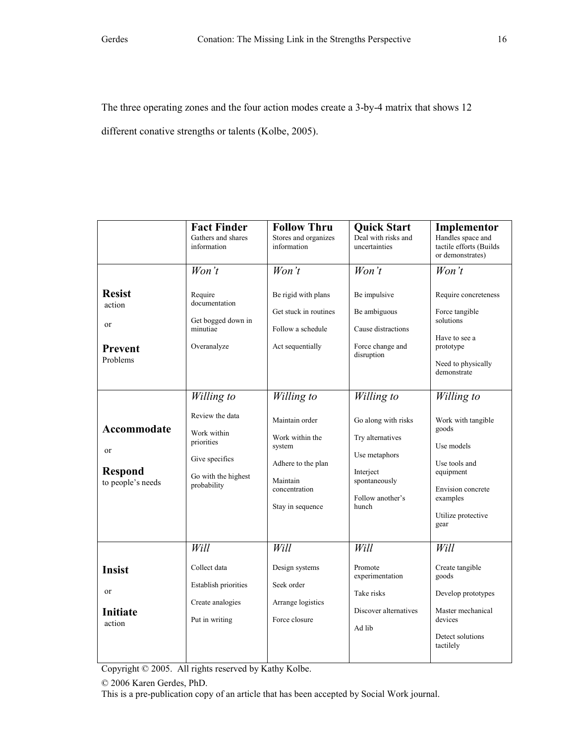The three operating zones and the four action modes create a 3-by-4 matrix that shows 12

different conative strengths or talents (Kolbe, 2005).

|                                                                     | <b>Fact Finder</b><br>Gathers and shares<br>information                                                            | <b>Follow Thru</b><br>Stores and organizes<br>information                                                                        | <b>Quick Start</b><br>Deal with risks and<br>uncertainties                                                                        | Implementor<br>Handles space and<br>tactile efforts (Builds<br>or demonstrates)                                                                      |
|---------------------------------------------------------------------|--------------------------------------------------------------------------------------------------------------------|----------------------------------------------------------------------------------------------------------------------------------|-----------------------------------------------------------------------------------------------------------------------------------|------------------------------------------------------------------------------------------------------------------------------------------------------|
|                                                                     | $W$ on't                                                                                                           | $W$ on't                                                                                                                         | $W$ on't                                                                                                                          | $W$ on't                                                                                                                                             |
| <b>Resist</b><br>action<br><sub>or</sub><br>Prevent<br>Problems     | Require<br>documentation<br>Get bogged down in<br>minutiae<br>Overanalyze                                          | Be rigid with plans<br>Get stuck in routines<br>Follow a schedule<br>Act sequentially                                            | Be impulsive<br>Be ambiguous<br>Cause distractions<br>Force change and<br>disruption                                              | Require concreteness<br>Force tangible<br>solutions<br>Have to see a<br>prototype<br>Need to physically<br>demonstrate                               |
| Accommodate<br><sub>or</sub><br><b>Respond</b><br>to people's needs | Willing to<br>Review the data<br>Work within<br>priorities<br>Give specifics<br>Go with the highest<br>probability | Willing to<br>Maintain order<br>Work within the<br>system<br>Adhere to the plan<br>Maintain<br>concentration<br>Stay in sequence | Willing to<br>Go along with risks<br>Try alternatives<br>Use metaphors<br>Interject<br>spontaneously<br>Follow another's<br>hunch | Willing to<br>Work with tangible<br>goods<br>Use models<br>Use tools and<br>equipment<br>Envision concrete<br>examples<br>Utilize protective<br>gear |
| <b>Insist</b><br><sub>or</sub><br><b>Initiate</b><br>action         | Will<br>Collect data<br>Establish priorities<br>Create analogies<br>Put in writing                                 | Will<br>Design systems<br>Seek order<br>Arrange logistics<br>Force closure                                                       | Will<br>Promote<br>experimentation<br>Take risks<br>Discover alternatives<br>Ad lib                                               | Will<br>Create tangible<br>goods<br>Develop prototypes<br>Master mechanical<br>devices<br>Detect solutions<br>tactilely                              |

Copyright © 2005. All rights reserved by Kathy Kolbe.

© 2006 Karen Gerdes, PhD.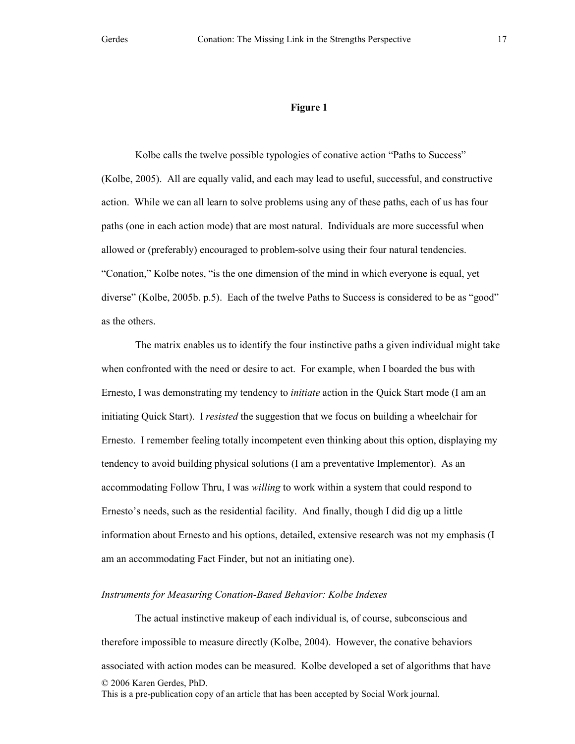Kolbe calls the twelve possible typologies of conative action "Paths to Success" (Kolbe, 2005). All are equally valid, and each may lead to useful, successful, and constructive action. While we can all learn to solve problems using any of these paths, each of us has four paths (one in each action mode) that are most natural. Individuals are more successful when allowed or (preferably) encouraged to problem-solve using their four natural tendencies. "Conation," Kolbe notes, "is the one dimension of the mind in which everyone is equal, yet diverse" (Kolbe, 2005b. p.5). Each of the twelve Paths to Success is considered to be as "good" as the others.

The matrix enables us to identify the four instinctive paths a given individual might take when confronted with the need or desire to act. For example, when I boarded the bus with Ernesto, I was demonstrating my tendency to initiate action in the Quick Start mode (I am an initiating Quick Start). I resisted the suggestion that we focus on building a wheelchair for Ernesto. I remember feeling totally incompetent even thinking about this option, displaying my tendency to avoid building physical solutions (I am a preventative Implementor). As an accommodating Follow Thru, I was willing to work within a system that could respond to Ernesto's needs, such as the residential facility. And finally, though I did dig up a little information about Ernesto and his options, detailed, extensive research was not my emphasis (I am an accommodating Fact Finder, but not an initiating one).

## Instruments for Measuring Conation-Based Behavior: Kolbe Indexes

© 2006 Karen Gerdes, PhD. This is a pre-publication copy of an article that has been accepted by Social Work journal. The actual instinctive makeup of each individual is, of course, subconscious and therefore impossible to measure directly (Kolbe, 2004). However, the conative behaviors associated with action modes can be measured. Kolbe developed a set of algorithms that have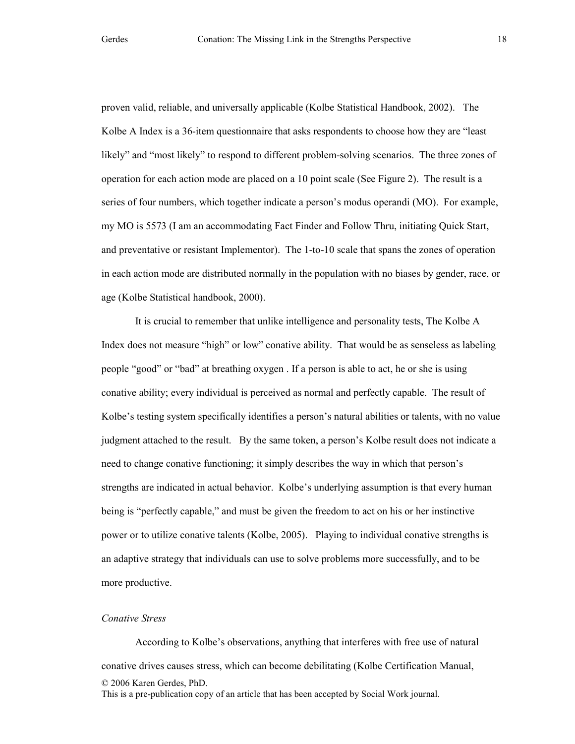proven valid, reliable, and universally applicable (Kolbe Statistical Handbook, 2002). The Kolbe A Index is a 36-item questionnaire that asks respondents to choose how they are "least likely" and "most likely" to respond to different problem-solving scenarios. The three zones of operation for each action mode are placed on a 10 point scale (See Figure 2). The result is a series of four numbers, which together indicate a person's modus operandi (MO). For example, my MO is 5573 (I am an accommodating Fact Finder and Follow Thru, initiating Quick Start, and preventative or resistant Implementor). The 1-to-10 scale that spans the zones of operation in each action mode are distributed normally in the population with no biases by gender, race, or age (Kolbe Statistical handbook, 2000).

It is crucial to remember that unlike intelligence and personality tests, The Kolbe A Index does not measure "high" or low" conative ability. That would be as senseless as labeling people "good" or "bad" at breathing oxygen . If a person is able to act, he or she is using conative ability; every individual is perceived as normal and perfectly capable. The result of Kolbe's testing system specifically identifies a person's natural abilities or talents, with no value judgment attached to the result. By the same token, a person's Kolbe result does not indicate a need to change conative functioning; it simply describes the way in which that person's strengths are indicated in actual behavior. Kolbe's underlying assumption is that every human being is "perfectly capable," and must be given the freedom to act on his or her instinctive power or to utilize conative talents (Kolbe, 2005). Playing to individual conative strengths is an adaptive strategy that individuals can use to solve problems more successfully, and to be more productive.

## Conative Stress

© 2006 Karen Gerdes, PhD. This is a pre-publication copy of an article that has been accepted by Social Work journal. According to Kolbe's observations, anything that interferes with free use of natural conative drives causes stress, which can become debilitating (Kolbe Certification Manual,

18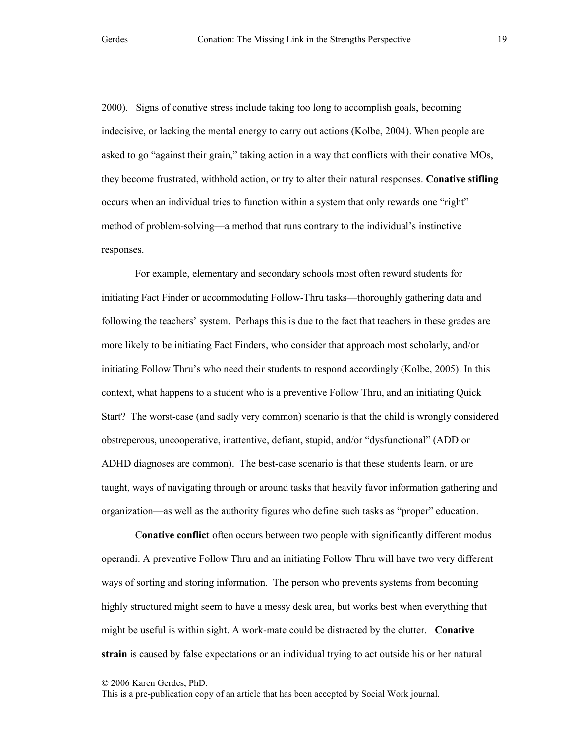2000). Signs of conative stress include taking too long to accomplish goals, becoming indecisive, or lacking the mental energy to carry out actions (Kolbe, 2004). When people are asked to go "against their grain," taking action in a way that conflicts with their conative MOs, they become frustrated, withhold action, or try to alter their natural responses. Conative stifling occurs when an individual tries to function within a system that only rewards one "right" method of problem-solving—a method that runs contrary to the individual's instinctive responses.

For example, elementary and secondary schools most often reward students for initiating Fact Finder or accommodating Follow-Thru tasks—thoroughly gathering data and following the teachers' system. Perhaps this is due to the fact that teachers in these grades are more likely to be initiating Fact Finders, who consider that approach most scholarly, and/or initiating Follow Thru's who need their students to respond accordingly (Kolbe, 2005). In this context, what happens to a student who is a preventive Follow Thru, and an initiating Quick Start? The worst-case (and sadly very common) scenario is that the child is wrongly considered obstreperous, uncooperative, inattentive, defiant, stupid, and/or "dysfunctional" (ADD or ADHD diagnoses are common). The best-case scenario is that these students learn, or are taught, ways of navigating through or around tasks that heavily favor information gathering and organization—as well as the authority figures who define such tasks as "proper" education.

Conative conflict often occurs between two people with significantly different modus operandi. A preventive Follow Thru and an initiating Follow Thru will have two very different ways of sorting and storing information. The person who prevents systems from becoming highly structured might seem to have a messy desk area, but works best when everything that might be useful is within sight. A work-mate could be distracted by the clutter. **Conative** strain is caused by false expectations or an individual trying to act outside his or her natural

© 2006 Karen Gerdes, PhD.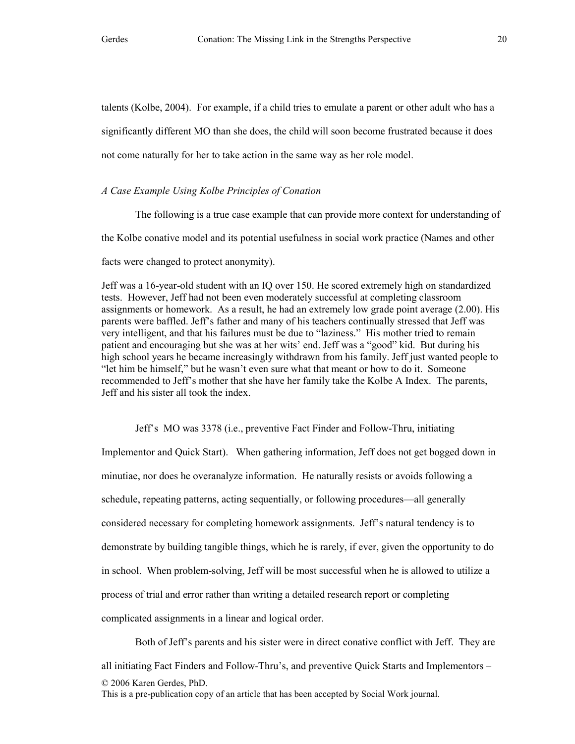talents (Kolbe, 2004). For example, if a child tries to emulate a parent or other adult who has a significantly different MO than she does, the child will soon become frustrated because it does not come naturally for her to take action in the same way as her role model.

# A Case Example Using Kolbe Principles of Conation

The following is a true case example that can provide more context for understanding of the Kolbe conative model and its potential usefulness in social work practice (Names and other facts were changed to protect anonymity).

Jeff was a 16-year-old student with an IQ over 150. He scored extremely high on standardized tests. However, Jeff had not been even moderately successful at completing classroom assignments or homework. As a result, he had an extremely low grade point average (2.00). His parents were baffled. Jeff's father and many of his teachers continually stressed that Jeff was very intelligent, and that his failures must be due to "laziness." His mother tried to remain patient and encouraging but she was at her wits' end. Jeff was a "good" kid. But during his high school years he became increasingly withdrawn from his family. Jeff just wanted people to "let him be himself," but he wasn't even sure what that meant or how to do it. Someone recommended to Jeff's mother that she have her family take the Kolbe A Index. The parents, Jeff and his sister all took the index.

Jeff's MO was 3378 (i.e., preventive Fact Finder and Follow-Thru, initiating Implementor and Quick Start). When gathering information, Jeff does not get bogged down in minutiae, nor does he overanalyze information. He naturally resists or avoids following a schedule, repeating patterns, acting sequentially, or following procedures—all generally considered necessary for completing homework assignments. Jeff's natural tendency is to demonstrate by building tangible things, which he is rarely, if ever, given the opportunity to do in school. When problem-solving, Jeff will be most successful when he is allowed to utilize a process of trial and error rather than writing a detailed research report or completing complicated assignments in a linear and logical order.

© 2006 Karen Gerdes, PhD. This is a pre-publication copy of an article that has been accepted by Social Work journal. Both of Jeff's parents and his sister were in direct conative conflict with Jeff. They are all initiating Fact Finders and Follow-Thru's, and preventive Quick Starts and Implementors –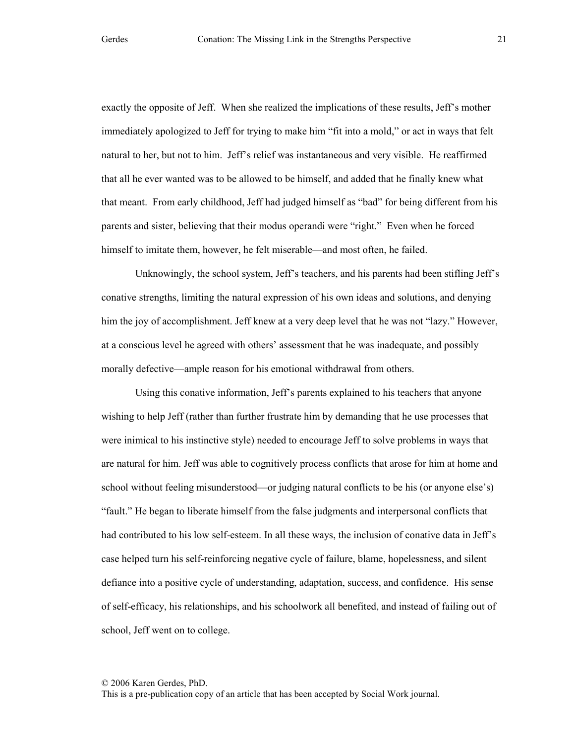exactly the opposite of Jeff. When she realized the implications of these results, Jeff's mother immediately apologized to Jeff for trying to make him "fit into a mold," or act in ways that felt natural to her, but not to him. Jeff's relief was instantaneous and very visible. He reaffirmed that all he ever wanted was to be allowed to be himself, and added that he finally knew what that meant. From early childhood, Jeff had judged himself as "bad" for being different from his parents and sister, believing that their modus operandi were "right." Even when he forced himself to imitate them, however, he felt miserable—and most often, he failed.

Unknowingly, the school system, Jeff's teachers, and his parents had been stifling Jeff's conative strengths, limiting the natural expression of his own ideas and solutions, and denying him the joy of accomplishment. Jeff knew at a very deep level that he was not "lazy." However, at a conscious level he agreed with others' assessment that he was inadequate, and possibly morally defective—ample reason for his emotional withdrawal from others.

Using this conative information, Jeff's parents explained to his teachers that anyone wishing to help Jeff (rather than further frustrate him by demanding that he use processes that were inimical to his instinctive style) needed to encourage Jeff to solve problems in ways that are natural for him. Jeff was able to cognitively process conflicts that arose for him at home and school without feeling misunderstood—or judging natural conflicts to be his (or anyone else's) "fault." He began to liberate himself from the false judgments and interpersonal conflicts that had contributed to his low self-esteem. In all these ways, the inclusion of conative data in Jeff's case helped turn his self-reinforcing negative cycle of failure, blame, hopelessness, and silent defiance into a positive cycle of understanding, adaptation, success, and confidence. His sense of self-efficacy, his relationships, and his schoolwork all benefited, and instead of failing out of school, Jeff went on to college.

© 2006 Karen Gerdes, PhD.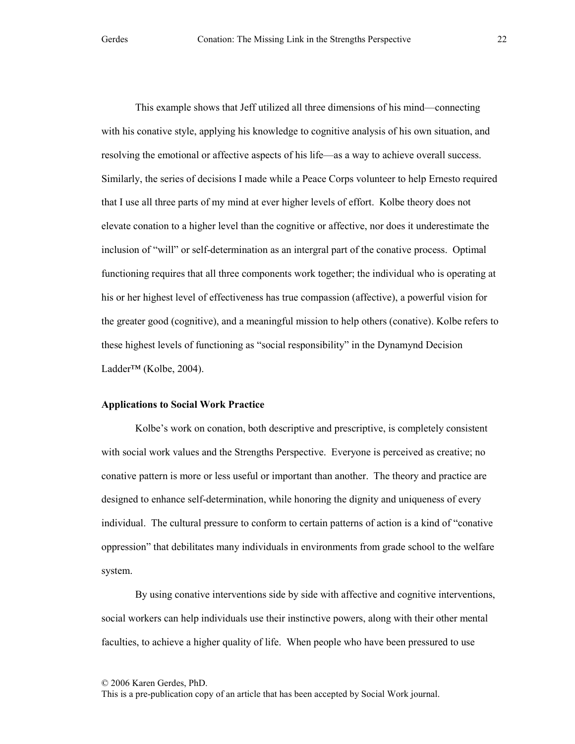This example shows that Jeff utilized all three dimensions of his mind—connecting with his conative style, applying his knowledge to cognitive analysis of his own situation, and resolving the emotional or affective aspects of his life—as a way to achieve overall success. Similarly, the series of decisions I made while a Peace Corps volunteer to help Ernesto required that I use all three parts of my mind at ever higher levels of effort. Kolbe theory does not elevate conation to a higher level than the cognitive or affective, nor does it underestimate the inclusion of "will" or self-determination as an intergral part of the conative process. Optimal functioning requires that all three components work together; the individual who is operating at his or her highest level of effectiveness has true compassion (affective), a powerful vision for the greater good (cognitive), and a meaningful mission to help others (conative). Kolbe refers to these highest levels of functioning as "social responsibility" in the Dynamynd Decision Ladder™ (Kolbe, 2004).

# Applications to Social Work Practice

Kolbe's work on conation, both descriptive and prescriptive, is completely consistent with social work values and the Strengths Perspective. Everyone is perceived as creative; no conative pattern is more or less useful or important than another. The theory and practice are designed to enhance self-determination, while honoring the dignity and uniqueness of every individual. The cultural pressure to conform to certain patterns of action is a kind of "conative oppression" that debilitates many individuals in environments from grade school to the welfare system.

By using conative interventions side by side with affective and cognitive interventions, social workers can help individuals use their instinctive powers, along with their other mental faculties, to achieve a higher quality of life. When people who have been pressured to use

© 2006 Karen Gerdes, PhD.

This is a pre-publication copy of an article that has been accepted by Social Work journal.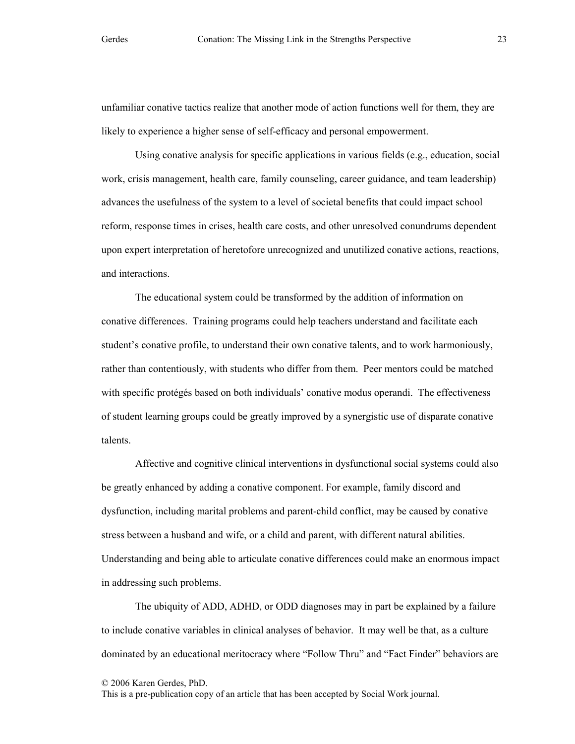unfamiliar conative tactics realize that another mode of action functions well for them, they are likely to experience a higher sense of self-efficacy and personal empowerment.

Using conative analysis for specific applications in various fields (e.g., education, social work, crisis management, health care, family counseling, career guidance, and team leadership) advances the usefulness of the system to a level of societal benefits that could impact school reform, response times in crises, health care costs, and other unresolved conundrums dependent upon expert interpretation of heretofore unrecognized and unutilized conative actions, reactions, and interactions.

The educational system could be transformed by the addition of information on conative differences. Training programs could help teachers understand and facilitate each student's conative profile, to understand their own conative talents, and to work harmoniously, rather than contentiously, with students who differ from them. Peer mentors could be matched with specific protégés based on both individuals' conative modus operandi. The effectiveness of student learning groups could be greatly improved by a synergistic use of disparate conative talents.

Affective and cognitive clinical interventions in dysfunctional social systems could also be greatly enhanced by adding a conative component. For example, family discord and dysfunction, including marital problems and parent-child conflict, may be caused by conative stress between a husband and wife, or a child and parent, with different natural abilities. Understanding and being able to articulate conative differences could make an enormous impact in addressing such problems.

The ubiquity of ADD, ADHD, or ODD diagnoses may in part be explained by a failure to include conative variables in clinical analyses of behavior. It may well be that, as a culture dominated by an educational meritocracy where "Follow Thru" and "Fact Finder" behaviors are

© 2006 Karen Gerdes, PhD.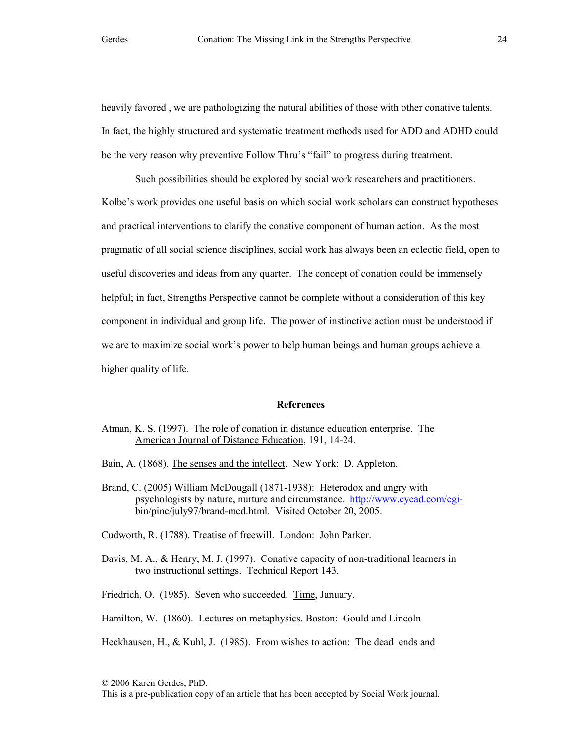heavily favored , we are pathologizing the natural abilities of those with other conative talents. In fact, the highly structured and systematic treatment methods used for ADD and ADHD could be the very reason why preventive Follow Thru's "fail" to progress during treatment.

Such possibilities should be explored by social work researchers and practitioners. Kolbe's work provides one useful basis on which social work scholars can construct hypotheses and practical interventions to clarify the conative component of human action. As the most pragmatic of all social science disciplines, social work has always been an eclectic field, open to useful discoveries and ideas from any quarter. The concept of conation could be immensely helpful; in fact, Strengths Perspective cannot be complete without a consideration of this key component in individual and group life. The power of instinctive action must be understood if we are to maximize social work's power to help human beings and human groups achieve a higher quality of life.

## References

- Atman, K. S. (1997). The role of conation in distance education enterprise. The American Journal of Distance Education, 191, 14-24.
- Bain, A. (1868). The senses and the intellect. New York: D. Appleton.
- Brand, C. (2005) William McDougall (1871-1938): Heterodox and angry with psychologists by nature, nurture and circumstance. http://www.cycad.com/cgibin/pinc/july97/brand-mcd.html. Visited October 20, 2005.

Cudworth, R. (1788). Treatise of freewill. London: John Parker.

Davis, M. A., & Henry, M. J. (1997). Conative capacity of non-traditional learners in two instructional settings. Technical Report 143.

Friedrich, O. (1985). Seven who succeeded. Time, January.

Hamilton, W. (1860). Lectures on metaphysics. Boston: Gould and Lincoln

Heckhausen, H., & Kuhl, J. (1985). From wishes to action: The dead ends and

<sup>© 2006</sup> Karen Gerdes, PhD.

This is a pre-publication copy of an article that has been accepted by Social Work journal.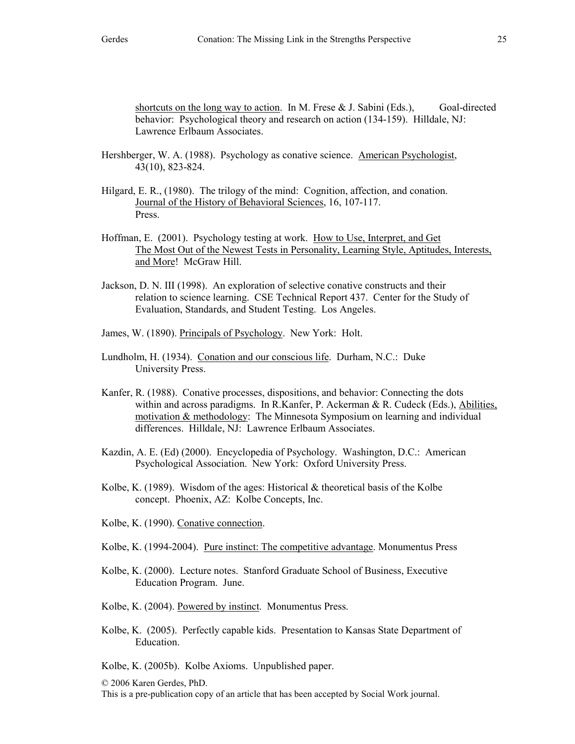shortcuts on the long way to action. In M. Frese  $& J.$  Sabini (Eds.), Goal-directed behavior: Psychological theory and research on action (134-159). Hilldale, NJ: Lawrence Erlbaum Associates.

- Hershberger, W. A. (1988). Psychology as conative science. American Psychologist, 43(10), 823-824.
- Hilgard, E. R., (1980). The trilogy of the mind: Cognition, affection, and conation. Journal of the History of Behavioral Sciences, 16, 107-117. Press.
- Hoffman, E. (2001). Psychology testing at work. How to Use, Interpret, and Get The Most Out of the Newest Tests in Personality, Learning Style, Aptitudes, Interests, and More! McGraw Hill.
- Jackson, D. N. III (1998). An exploration of selective conative constructs and their relation to science learning. CSE Technical Report 437. Center for the Study of Evaluation, Standards, and Student Testing. Los Angeles.
- James, W. (1890). Principals of Psychology. New York: Holt.
- Lundholm, H. (1934). Conation and our conscious life. Durham, N.C.: Duke University Press.
- Kanfer, R. (1988). Conative processes, dispositions, and behavior: Connecting the dots within and across paradigms. In R.Kanfer, P. Ackerman & R. Cudeck (Eds.), Abilities, motivation & methodology: The Minnesota Symposium on learning and individual differences. Hilldale, NJ: Lawrence Erlbaum Associates.
- Kazdin, A. E. (Ed) (2000). Encyclopedia of Psychology. Washington, D.C.: American Psychological Association. New York: Oxford University Press.
- Kolbe, K. (1989). Wisdom of the ages: Historical  $\&$  theoretical basis of the Kolbe concept. Phoenix, AZ: Kolbe Concepts, Inc.
- Kolbe, K. (1990). Conative connection.

Kolbe, K. (1994-2004). Pure instinct: The competitive advantage. Monumentus Press

- Kolbe, K. (2000). Lecture notes. Stanford Graduate School of Business, Executive Education Program. June.
- Kolbe, K. (2004). Powered by instinct. Monumentus Press.
- Kolbe, K. (2005). Perfectly capable kids. Presentation to Kansas State Department of Education.

Kolbe, K. (2005b). Kolbe Axioms. Unpublished paper.

© 2006 Karen Gerdes, PhD. This is a pre-publication copy of an article that has been accepted by Social Work journal.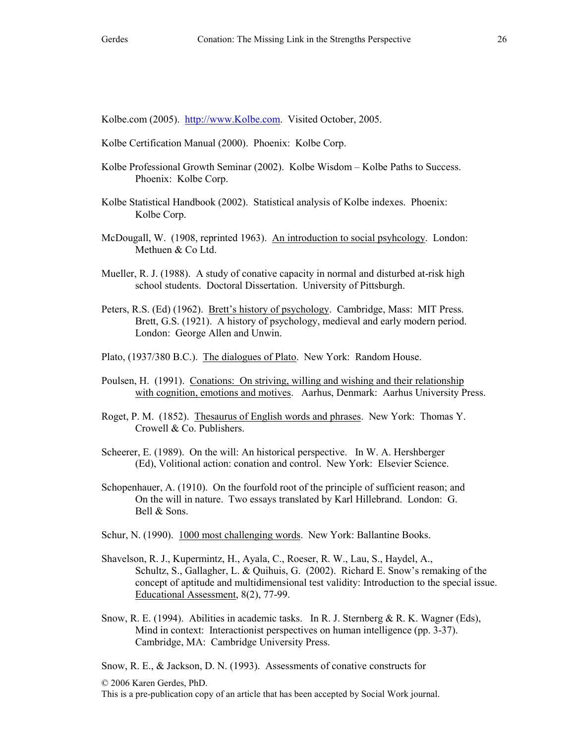Kolbe.com (2005). http://www.Kolbe.com. Visited October, 2005.

- Kolbe Certification Manual (2000). Phoenix: Kolbe Corp.
- Kolbe Professional Growth Seminar (2002). Kolbe Wisdom Kolbe Paths to Success. Phoenix: Kolbe Corp.
- Kolbe Statistical Handbook (2002). Statistical analysis of Kolbe indexes. Phoenix: Kolbe Corp.
- McDougall, W. (1908, reprinted 1963). An introduction to social psyhcology. London: Methuen & Co Ltd.
- Mueller, R. J. (1988). A study of conative capacity in normal and disturbed at-risk high school students. Doctoral Dissertation. University of Pittsburgh.
- Peters, R.S. (Ed) (1962). Brett's history of psychology. Cambridge, Mass: MIT Press. Brett, G.S. (1921). A history of psychology, medieval and early modern period. London: George Allen and Unwin.
- Plato, (1937/380 B.C.). The dialogues of Plato. New York: Random House.
- Poulsen, H. (1991). Conations: On striving, willing and wishing and their relationship with cognition, emotions and motives. Aarhus, Denmark: Aarhus University Press.
- Roget, P. M. (1852). Thesaurus of English words and phrases. New York: Thomas Y. Crowell & Co. Publishers.
- Scheerer, E. (1989). On the will: An historical perspective. In W. A. Hershberger (Ed), Volitional action: conation and control. New York: Elsevier Science.
- Schopenhauer, A. (1910). On the fourfold root of the principle of sufficient reason; and On the will in nature. Two essays translated by Karl Hillebrand. London: G. Bell & Sons.
- Schur, N. (1990). 1000 most challenging words. New York: Ballantine Books.
- Shavelson, R. J., Kupermintz, H., Ayala, C., Roeser, R. W., Lau, S., Haydel, A., Schultz, S., Gallagher, L. & Quihuis, G. (2002). Richard E. Snow's remaking of the concept of aptitude and multidimensional test validity: Introduction to the special issue. Educational Assessment, 8(2), 77-99.
- Snow, R. E. (1994). Abilities in academic tasks. In R. J. Sternberg & R. K. Wagner (Eds), Mind in context: Interactionist perspectives on human intelligence (pp. 3-37). Cambridge, MA: Cambridge University Press.

Snow, R. E., & Jackson, D. N. (1993). Assessments of conative constructs for

© 2006 Karen Gerdes, PhD.